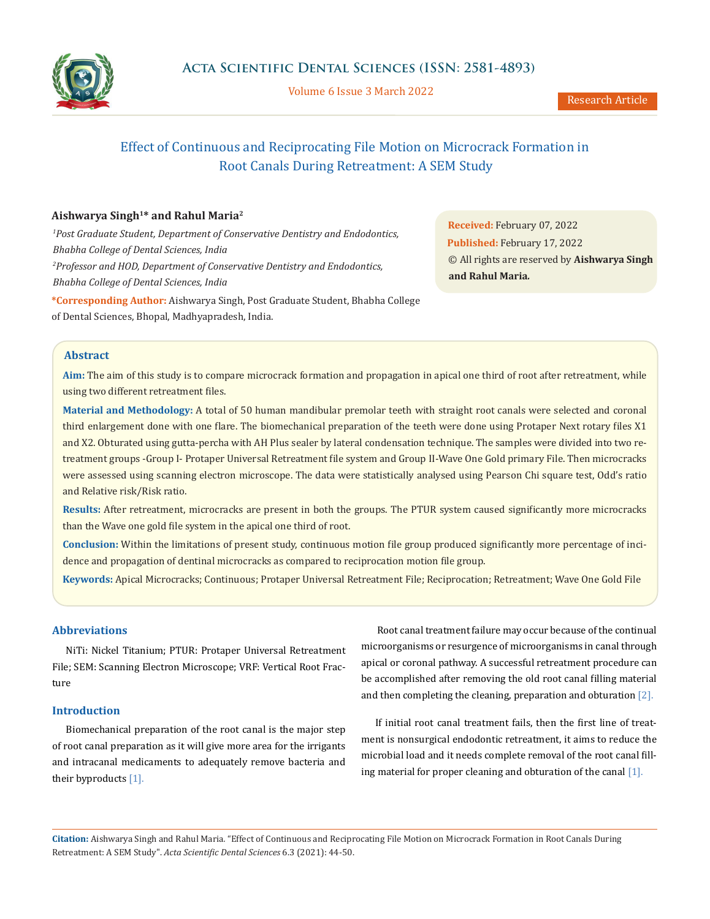

Volume 6 Issue 3 March 2022

# Effect of Continuous and Reciprocating File Motion on Microcrack Formation in Root Canals During Retreatment: A SEM Study

# **Aishwarya Singh1\* and Rahul Maria2**

*1 Post Graduate Student, Department of Conservative Dentistry and Endodontics, Bhabha College of Dental Sciences, India 2 Professor and HOD, Department of Conservative Dentistry and Endodontics, Bhabha College of Dental Sciences, India* **\*Corresponding Author:** Aishwarya Singh, Post Graduate Student, Bhabha College of Dental Sciences, Bhopal, Madhyapradesh, India.

**Received:** February 07, 2022 **Published:** February 17, 2022 © All rights are reserved by **Aishwarya Singh and Rahul Maria***.*

# **Abstract**

**Aim:** The aim of this study is to compare microcrack formation and propagation in apical one third of root after retreatment, while using two different retreatment files.

**Material and Methodology:** A total of 50 human mandibular premolar teeth with straight root canals were selected and coronal third enlargement done with one flare. The biomechanical preparation of the teeth were done using Protaper Next rotary files X1 and X2. Obturated using gutta-percha with AH Plus sealer by lateral condensation technique. The samples were divided into two retreatment groups -Group I- Protaper Universal Retreatment file system and Group II-Wave One Gold primary File. Then microcracks were assessed using scanning electron microscope. The data were statistically analysed using Pearson Chi square test, Odd's ratio and Relative risk/Risk ratio.

**Results:** After retreatment, microcracks are present in both the groups. The PTUR system caused significantly more microcracks than the Wave one gold file system in the apical one third of root.

**Conclusion:** Within the limitations of present study, continuous motion file group produced significantly more percentage of incidence and propagation of dentinal microcracks as compared to reciprocation motion file group.

**Keywords:** Apical Microcracks; Continuous; Protaper Universal Retreatment File; Reciprocation; Retreatment; Wave One Gold File

# **Abbreviations**

NiTi: Nickel Titanium; PTUR: Protaper Universal Retreatment File; SEM: Scanning Electron Microscope; VRF: Vertical Root Fracture

# **Introduction**

Biomechanical preparation of the root canal is the major step of root canal preparation as it will give more area for the irrigants and intracanal medicaments to adequately remove bacteria and their byproducts [1].

 Root canal treatment failure may occur because of the continual microorganisms or resurgence of microorganisms in canal through apical or coronal pathway. A successful retreatment procedure can be accomplished after removing the old root canal filling material and then completing the cleaning, preparation and obturation [2].

If initial root canal treatment fails, then the first line of treatment is nonsurgical endodontic retreatment, it aims to reduce the microbial load and it needs complete removal of the root canal filling material for proper cleaning and obturation of the canal [1].

**Citation:** Aishwarya Singh and Rahul Maria*.* "Effect of Continuous and Reciprocating File Motion on Microcrack Formation in Root Canals During Retreatment: A SEM Study". *Acta Scientific Dental Sciences* 6.3 (2021): 44-50.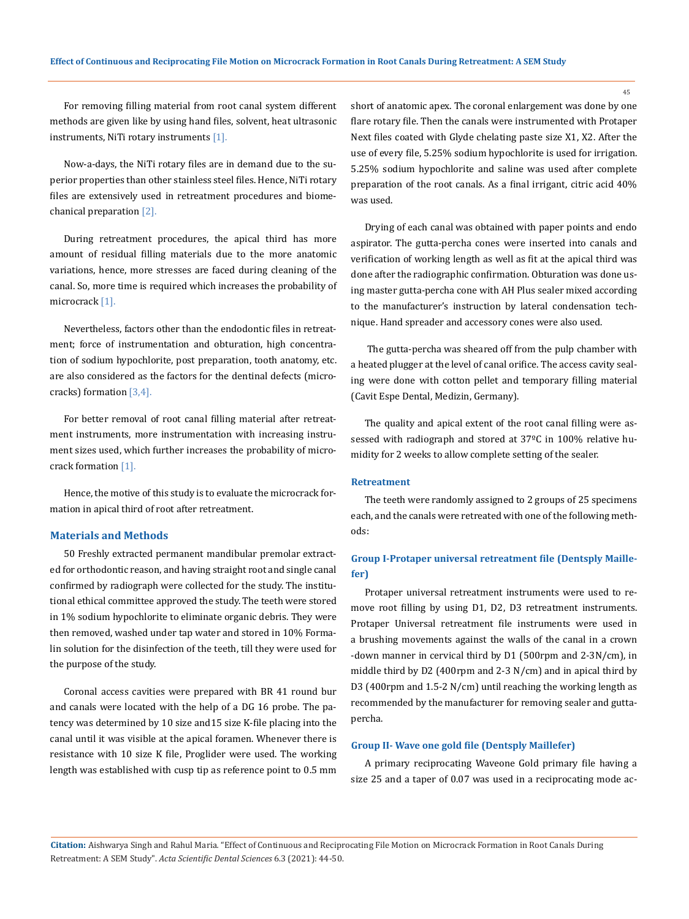For removing filling material from root canal system different methods are given like by using hand files, solvent, heat ultrasonic instruments, NiTi rotary instruments [1].

Now-a-days, the NiTi rotary files are in demand due to the superior properties than other stainless steel files. Hence, NiTi rotary files are extensively used in retreatment procedures and biomechanical preparation [2].

During retreatment procedures, the apical third has more amount of residual filling materials due to the more anatomic variations, hence, more stresses are faced during cleaning of the canal. So, more time is required which increases the probability of microcrack [1].

Nevertheless, factors other than the endodontic files in retreatment; force of instrumentation and obturation, high concentration of sodium hypochlorite, post preparation, tooth anatomy, etc. are also considered as the factors for the dentinal defects (microcracks) formation [3,4].

For better removal of root canal filling material after retreatment instruments, more instrumentation with increasing instrument sizes used, which further increases the probability of microcrack formation [1].

Hence, the motive of this study is to evaluate the microcrack formation in apical third of root after retreatment.

#### **Materials and Methods**

50 Freshly extracted permanent mandibular premolar extracted for orthodontic reason, and having straight root and single canal confirmed by radiograph were collected for the study. The institutional ethical committee approved the study. The teeth were stored in 1% sodium hypochlorite to eliminate organic debris. They were then removed, washed under tap water and stored in 10% Formalin solution for the disinfection of the teeth, till they were used for the purpose of the study.

Coronal access cavities were prepared with BR 41 round bur and canals were located with the help of a DG 16 probe. The patency was determined by 10 size and15 size K-file placing into the canal until it was visible at the apical foramen. Whenever there is resistance with 10 size K file, Proglider were used. The working length was established with cusp tip as reference point to 0.5 mm short of anatomic apex. The coronal enlargement was done by one flare rotary file. Then the canals were instrumented with Protaper Next files coated with Glyde chelating paste size X1, X2. After the use of every file, 5.25% sodium hypochlorite is used for irrigation. 5.25% sodium hypochlorite and saline was used after complete preparation of the root canals. As a final irrigant, citric acid 40% was used.

Drying of each canal was obtained with paper points and endo aspirator. The gutta-percha cones were inserted into canals and verification of working length as well as fit at the apical third was done after the radiographic confirmation. Obturation was done using master gutta-percha cone with AH Plus sealer mixed according to the manufacturer's instruction by lateral condensation technique. Hand spreader and accessory cones were also used.

 The gutta-percha was sheared off from the pulp chamber with a heated plugger at the level of canal orifice. The access cavity sealing were done with cotton pellet and temporary filling material (Cavit Espe Dental, Medizin, Germany).

The quality and apical extent of the root canal filling were assessed with radiograph and stored at 37ºC in 100% relative humidity for 2 weeks to allow complete setting of the sealer.

# **Retreatment**

The teeth were randomly assigned to 2 groups of 25 specimens each, and the canals were retreated with one of the following methods:

# **Group I-Protaper universal retreatment file (Dentsply Maillefer)**

Protaper universal retreatment instruments were used to remove root filling by using D1, D2, D3 retreatment instruments. Protaper Universal retreatment file instruments were used in a brushing movements against the walls of the canal in a crown -down manner in cervical third by D1 (500rpm and 2-3N/cm), in middle third by D2 (400rpm and 2-3 N/cm) and in apical third by D3 (400rpm and 1.5-2 N/cm) until reaching the working length as recommended by the manufacturer for removing sealer and guttapercha.

# **Group II- Wave one gold file (Dentsply Maillefer)**

A primary reciprocating Waveone Gold primary file having a size 25 and a taper of 0.07 was used in a reciprocating mode ac-

**Citation:** Aishwarya Singh and Rahul Maria*.* "Effect of Continuous and Reciprocating File Motion on Microcrack Formation in Root Canals During Retreatment: A SEM Study". *Acta Scientific Dental Sciences* 6.3 (2021): 44-50.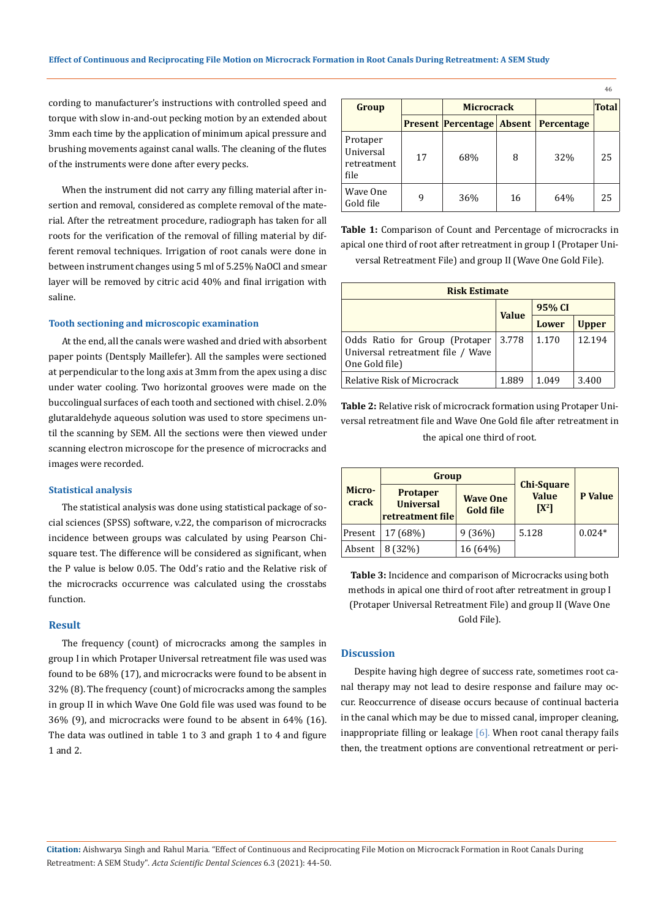cording to manufacturer's instructions with controlled speed and torque with slow in-and-out pecking motion by an extended about 3mm each time by the application of minimum apical pressure and brushing movements against canal walls. The cleaning of the flutes of the instruments were done after every pecks.

When the instrument did not carry any filling material after insertion and removal, considered as complete removal of the material. After the retreatment procedure, radiograph has taken for all roots for the verification of the removal of filling material by different removal techniques. Irrigation of root canals were done in between instrument changes using 5 ml of 5.25% NaOCl and smear layer will be removed by citric acid 40% and final irrigation with saline.

#### **Tooth sectioning and microscopic examination**

At the end, all the canals were washed and dried with absorbent paper points (Dentsply Maillefer). All the samples were sectioned at perpendicular to the long axis at 3mm from the apex using a disc under water cooling. Two horizontal grooves were made on the buccolingual surfaces of each tooth and sectioned with chisel. 2.0% glutaraldehyde aqueous solution was used to store specimens until the scanning by SEM. All the sections were then viewed under scanning electron microscope for the presence of microcracks and images were recorded.

### **Statistical analysis**

The statistical analysis was done using statistical package of social sciences (SPSS) software, v.22, the comparison of microcracks incidence between groups was calculated by using Pearson Chisquare test. The difference will be considered as significant, when the P value is below 0.05. The Odd's ratio and the Relative risk of the microcracks occurrence was calculated using the crosstabs function.

# **Result**

The frequency (count) of microcracks among the samples in group I in which Protaper Universal retreatment file was used was found to be 68% (17), and microcracks were found to be absent in 32% (8). The frequency (count) of microcracks among the samples in group II in which Wave One Gold file was used was found to be 36% (9), and microcracks were found to be absent in 64% (16). The data was outlined in table 1 to 3 and graph 1 to 4 and figure 1 and 2.

| Group                                        |    | <b>Microcrack</b>                |    |            | 46<br><b>Total</b> |
|----------------------------------------------|----|----------------------------------|----|------------|--------------------|
|                                              |    | <b>Present Percentage Absent</b> |    | Percentage |                    |
| Protaper<br>Universal<br>retreatment<br>file | 17 | 68%                              | 8  | 32%        | 25                 |
| Wave One<br>Gold file                        | q  | 36%                              | 16 | 64%        | 25                 |

**Table 1:** Comparison of Count and Percentage of microcracks in apical one third of root after retreatment in group I (Protaper Universal Retreatment File) and group II (Wave One Gold File).

| <b>Risk Estimate</b>                                                                  |              |        |              |  |  |  |  |
|---------------------------------------------------------------------------------------|--------------|--------|--------------|--|--|--|--|
|                                                                                       |              | 95% CI |              |  |  |  |  |
|                                                                                       | <b>Value</b> | Lower  | <b>Upper</b> |  |  |  |  |
| Odds Ratio for Group (Protaper<br>Universal retreatment file / Wave<br>One Gold file) | 3.778        | 1.170  | 12.194       |  |  |  |  |
| <b>Relative Risk of Microcrack</b>                                                    | 1.889        | 1.049  | 3.400        |  |  |  |  |

**Table 2:** Relative risk of microcrack formation using Protaper Universal retreatment file and Wave One Gold file after retreatment in the apical one third of root.

|                 | Group                                                   |                                     |                                              |          |  |
|-----------------|---------------------------------------------------------|-------------------------------------|----------------------------------------------|----------|--|
| Micro-<br>crack | <b>Protaper</b><br><b>Universal</b><br>retreatment file | <b>Wave One</b><br><b>Gold file</b> | <b>Chi-Square</b><br><b>Value</b><br>$[X^2]$ | P Value  |  |
| Present         | 17 (68%)                                                | 9(36%)                              | 5.128                                        | $0.024*$ |  |
| Absent          | 8 (32%)                                                 | 16 (64%)                            |                                              |          |  |

**Table 3:** Incidence and comparison of Microcracks using both methods in apical one third of root after retreatment in group I (Protaper Universal Retreatment File) and group II (Wave One Gold File).

# **Discussion**

Despite having high degree of success rate, sometimes root canal therapy may not lead to desire response and failure may occur. Reoccurrence of disease occurs because of continual bacteria in the canal which may be due to missed canal, improper cleaning, inappropriate filling or leakage  $[6]$ . When root canal therapy fails then, the treatment options are conventional retreatment or peri-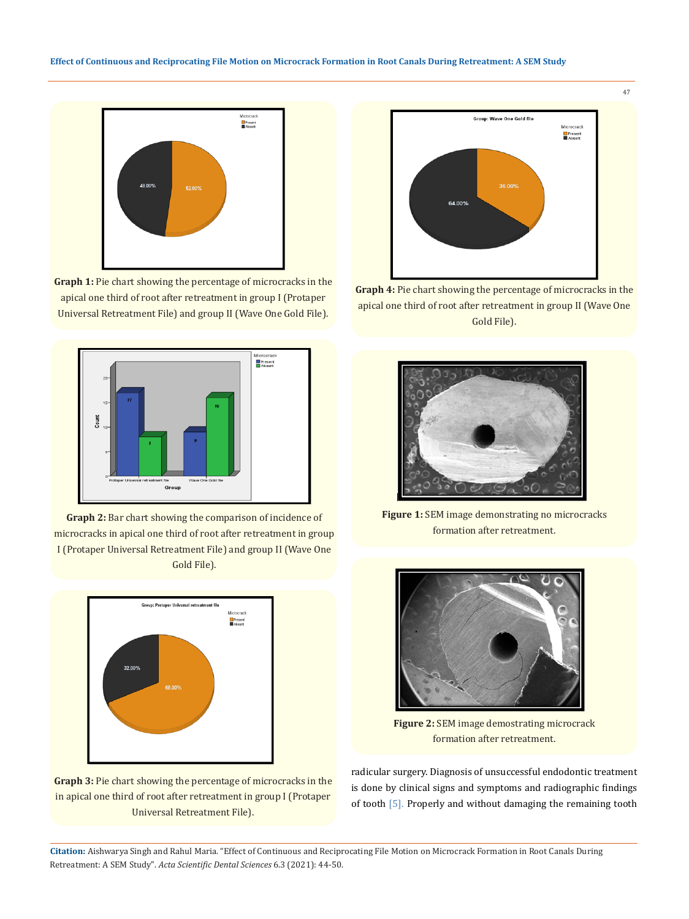

**Graph 1:** Pie chart showing the percentage of microcracks in the apical one third of root after retreatment in group I (Protaper Universal Retreatment File) and group II (Wave One Gold File).



**Graph 2:** Bar chart showing the comparison of incidence of microcracks in apical one third of root after retreatment in group I (Protaper Universal Retreatment File) and group II (Wave One Gold File).



**Graph 3:** Pie chart showing the percentage of microcracks in the in apical one third of root after retreatment in group I (Protaper Universal Retreatment File).



**Graph 4:** Pie chart showing the percentage of microcracks in the apical one third of root after retreatment in group II (Wave One Gold File).



**Figure 1:** SEM image demonstrating no microcracks formation after retreatment.



**Figure 2:** SEM image demostrating microcrack formation after retreatment.

radicular surgery. Diagnosis of unsuccessful endodontic treatment is done by clinical signs and symptoms and radiographic findings of tooth [5]. Properly and without damaging the remaining tooth

**Citation:** Aishwarya Singh and Rahul Maria*.* "Effect of Continuous and Reciprocating File Motion on Microcrack Formation in Root Canals During Retreatment: A SEM Study". *Acta Scientific Dental Sciences* 6.3 (2021): 44-50.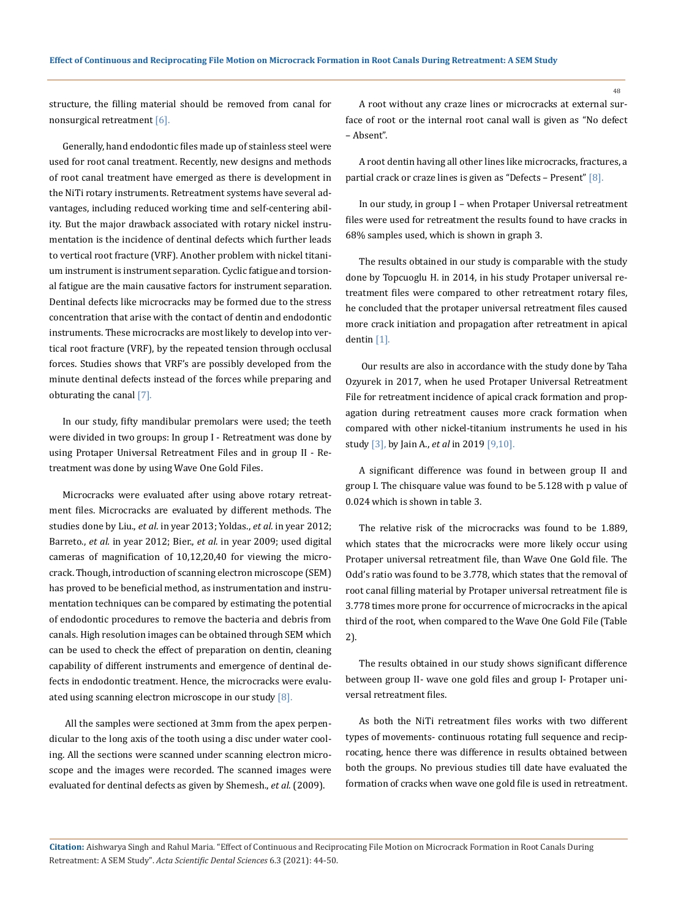structure, the filling material should be removed from canal for nonsurgical retreatment [6].

Generally, hand endodontic files made up of stainless steel were used for root canal treatment. Recently, new designs and methods of root canal treatment have emerged as there is development in the NiTi rotary instruments. Retreatment systems have several advantages, including reduced working time and self-centering ability. But the major drawback associated with rotary nickel instrumentation is the incidence of dentinal defects which further leads to vertical root fracture (VRF). Another problem with nickel titanium instrument is instrument separation. Cyclic fatigue and torsional fatigue are the main causative factors for instrument separation. Dentinal defects like microcracks may be formed due to the stress concentration that arise with the contact of dentin and endodontic instruments. These microcracks are most likely to develop into vertical root fracture (VRF), by the repeated tension through occlusal forces. Studies shows that VRF's are possibly developed from the minute dentinal defects instead of the forces while preparing and obturating the canal [7].

In our study, fifty mandibular premolars were used; the teeth were divided in two groups: In group I - Retreatment was done by using Protaper Universal Retreatment Files and in group II - Retreatment was done by using Wave One Gold Files.

Microcracks were evaluated after using above rotary retreatment files. Microcracks are evaluated by different methods. The studies done by Liu., *et al*. in year 2013; Yoldas., *et al.* in year 2012; Barreto., *et al.* in year 2012; Bier., *et al*. in year 2009; used digital cameras of magnification of 10,12,20,40 for viewing the microcrack. Though, introduction of scanning electron microscope (SEM) has proved to be beneficial method, as instrumentation and instrumentation techniques can be compared by estimating the potential of endodontic procedures to remove the bacteria and debris from canals. High resolution images can be obtained through SEM which can be used to check the effect of preparation on dentin, cleaning capability of different instruments and emergence of dentinal defects in endodontic treatment. Hence, the microcracks were evaluated using scanning electron microscope in our study [8].

 All the samples were sectioned at 3mm from the apex perpendicular to the long axis of the tooth using a disc under water cooling. All the sections were scanned under scanning electron microscope and the images were recorded. The scanned images were evaluated for dentinal defects as given by Shemesh., *et al.* (2009).

A root without any craze lines or microcracks at external surface of root or the internal root canal wall is given as "No defect – Absent".

A root dentin having all other lines like microcracks, fractures, a partial crack or craze lines is given as "Defects – Present" [8].

In our study, in group I – when Protaper Universal retreatment files were used for retreatment the results found to have cracks in 68% samples used, which is shown in graph 3.

The results obtained in our study is comparable with the study done by Topcuoglu H. in 2014, in his study Protaper universal retreatment files were compared to other retreatment rotary files, he concluded that the protaper universal retreatment files caused more crack initiation and propagation after retreatment in apical dentin [1].

 Our results are also in accordance with the study done by Taha Ozyurek in 2017, when he used Protaper Universal Retreatment File for retreatment incidence of apical crack formation and propagation during retreatment causes more crack formation when compared with other nickel-titanium instruments he used in his study [3], by Jain A., *et al* in 2019 [9,10].

A significant difference was found in between group II and group I. The chisquare value was found to be 5.128 with p value of 0.024 which is shown in table 3.

The relative risk of the microcracks was found to be 1.889, which states that the microcracks were more likely occur using Protaper universal retreatment file, than Wave One Gold file. The Odd's ratio was found to be 3.778, which states that the removal of root canal filling material by Protaper universal retreatment file is 3.778 times more prone for occurrence of microcracks in the apical third of the root, when compared to the Wave One Gold File (Table 2).

The results obtained in our study shows significant difference between group II- wave one gold files and group I- Protaper universal retreatment files.

As both the NiTi retreatment files works with two different types of movements- continuous rotating full sequence and reciprocating, hence there was difference in results obtained between both the groups. No previous studies till date have evaluated the formation of cracks when wave one gold file is used in retreatment.

**Citation:** Aishwarya Singh and Rahul Maria*.* "Effect of Continuous and Reciprocating File Motion on Microcrack Formation in Root Canals During Retreatment: A SEM Study". *Acta Scientific Dental Sciences* 6.3 (2021): 44-50.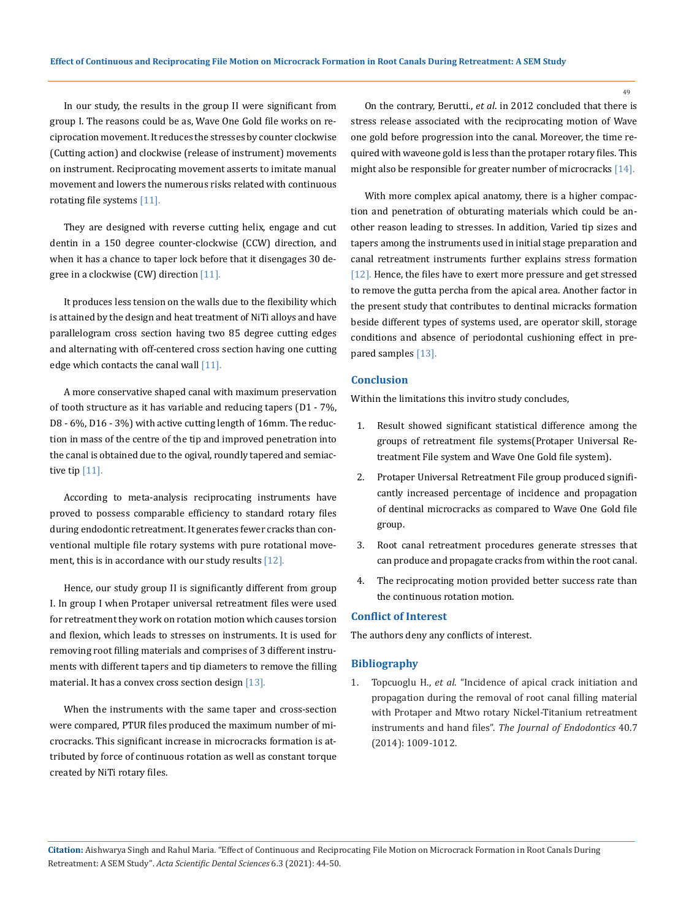In our study, the results in the group II were significant from group I. The reasons could be as, Wave One Gold file works on reciprocation movement. It reduces the stresses by counter clockwise (Cutting action) and clockwise (release of instrument) movements on instrument. Reciprocating movement asserts to imitate manual movement and lowers the numerous risks related with continuous rotating file systems [11].

They are designed with reverse cutting helix, engage and cut dentin in a 150 degree counter-clockwise (CCW) direction, and when it has a chance to taper lock before that it disengages 30 degree in a clockwise (CW) direction [11].

It produces less tension on the walls due to the flexibility which is attained by the design and heat treatment of NiTi alloys and have parallelogram cross section having two 85 degree cutting edges and alternating with off-centered cross section having one cutting edge which contacts the canal wall  $[11]$ .

A more conservative shaped canal with maximum preservation of tooth structure as it has variable and reducing tapers (D1 - 7%, D8 - 6%, D16 - 3%) with active cutting length of 16mm. The reduction in mass of the centre of the tip and improved penetration into the canal is obtained due to the ogival, roundly tapered and semiactive tip  $[11]$ .

According to meta-analysis reciprocating instruments have proved to possess comparable efficiency to standard rotary files during endodontic retreatment. It generates fewer cracks than conventional multiple file rotary systems with pure rotational movement, this is in accordance with our study results [12].

Hence, our study group II is significantly different from group I. In group I when Protaper universal retreatment files were used for retreatment they work on rotation motion which causes torsion and flexion, which leads to stresses on instruments. It is used for removing root filling materials and comprises of 3 different instruments with different tapers and tip diameters to remove the filling material. It has a convex cross section design [13].

When the instruments with the same taper and cross-section were compared, PTUR files produced the maximum number of microcracks. This significant increase in microcracks formation is attributed by force of continuous rotation as well as constant torque created by NiTi rotary files.

On the contrary, Berutti., *et al*. in 2012 concluded that there is stress release associated with the reciprocating motion of Wave one gold before progression into the canal. Moreover, the time required with waveone gold is less than the protaper rotary files. This might also be responsible for greater number of microcracks [14].

With more complex apical anatomy, there is a higher compaction and penetration of obturating materials which could be another reason leading to stresses. In addition, Varied tip sizes and tapers among the instruments used in initial stage preparation and canal retreatment instruments further explains stress formation [12]. Hence, the files have to exert more pressure and get stressed to remove the gutta percha from the apical area. Another factor in the present study that contributes to dentinal micracks formation beside different types of systems used, are operator skill, storage conditions and absence of periodontal cushioning effect in prepared samples [13].

# **Conclusion**

Within the limitations this invitro study concludes,

- 1. Result showed significant statistical difference among the groups of retreatment file systems(Protaper Universal Retreatment File system and Wave One Gold file system).
- 2. Protaper Universal Retreatment File group produced significantly increased percentage of incidence and propagation of dentinal microcracks as compared to Wave One Gold file group.
- 3. Root canal retreatment procedures generate stresses that can produce and propagate cracks from within the root canal.
- 4. The reciprocating motion provided better success rate than the continuous rotation motion.

# **Conflict of Interest**

The authors deny any conflicts of interest.

#### **Bibliography**

1. Topcuoglu H., *et al*[. "Incidence of apical crack initiation and](https://pubmed.ncbi.nlm.nih.gov/24935554/)  [propagation during the removal of root canal filling material](https://pubmed.ncbi.nlm.nih.gov/24935554/) [with Protaper and Mtwo rotary Nickel-Titanium retreatment](https://pubmed.ncbi.nlm.nih.gov/24935554/)  instruments and hand files". *[The Journal of Endodontics](https://pubmed.ncbi.nlm.nih.gov/24935554/)* 40.7 [\(2014\): 1009-1012.](https://pubmed.ncbi.nlm.nih.gov/24935554/)